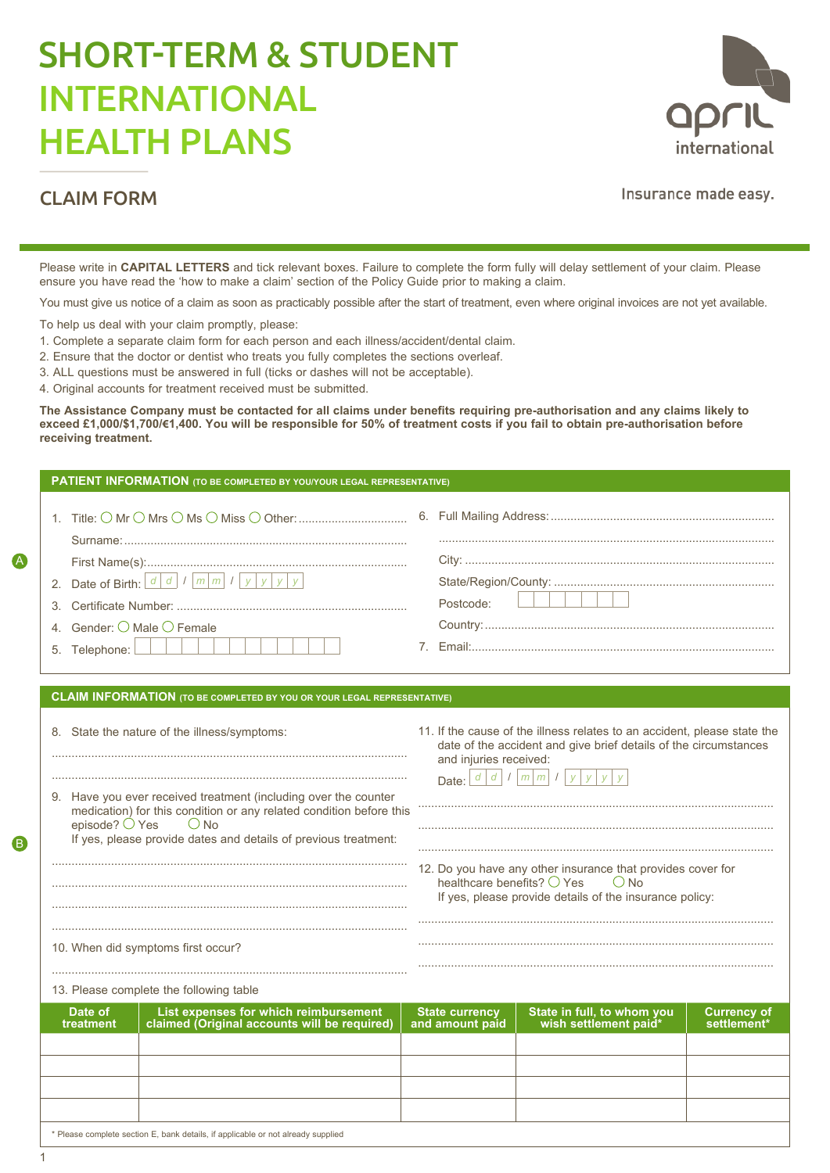# SHORT-TERM & STUDENT INTERNATIONAL HEALTH PLANS



# CLAIM FORM

Insurance made easy.

Please write in **CAPITAL LETTERS** and tick relevant boxes. Failure to complete the form fully will delay settlement of your claim. Please ensure you have read the 'how to make a claim' section of the Policy Guide prior to making a claim.

You must give us notice of a claim as soon as practicably possible after the start of treatment, even where original invoices are not yet available.

To help us deal with your claim promptly, please:

- 1. Complete a separate claim form for each person and each illness/accident/dental claim.
- 2. Ensure that the doctor or dentist who treats you fully completes the sections overleaf.
- 3. ALL questions must be answered in full (ticks or dashes will not be acceptable).
- 4. Original accounts for treatment received must be submitted.

**The Assistance Company must be contacted for all claims under benefits requiring pre-authorisation and any claims likely to exceed £1,000/\$1,700/€1,400. You will be responsible for 50% of treatment costs if you fail to obtain pre-authorisation before receiving treatment.**

| PATIENT INFORMATION (TO BE COMPLETED BY YOU/YOUR LEGAL REPRESENTATIVE)                                                                                                                                                                                |                                                                                                                                                                                                                        |
|-------------------------------------------------------------------------------------------------------------------------------------------------------------------------------------------------------------------------------------------------------|------------------------------------------------------------------------------------------------------------------------------------------------------------------------------------------------------------------------|
|                                                                                                                                                                                                                                                       |                                                                                                                                                                                                                        |
|                                                                                                                                                                                                                                                       |                                                                                                                                                                                                                        |
|                                                                                                                                                                                                                                                       |                                                                                                                                                                                                                        |
| 2. Date of Birth: $\left  \frac{d}{d} \right $ / $\left  \frac{m}{m} \right $ / $\left  y \right $ y $\left  y \right $ y $\left  y \right $                                                                                                          | Postcode:                                                                                                                                                                                                              |
| 3.                                                                                                                                                                                                                                                    |                                                                                                                                                                                                                        |
| 4. Gender: $\bigcirc$ Male $\bigcirc$ Female                                                                                                                                                                                                          |                                                                                                                                                                                                                        |
| 5. Telephone: $\Box$                                                                                                                                                                                                                                  |                                                                                                                                                                                                                        |
| <b>CLAIM INFORMATION</b> (TO BE COMPLETED BY YOU OR YOUR LEGAL REPRESENTATIVE)                                                                                                                                                                        |                                                                                                                                                                                                                        |
|                                                                                                                                                                                                                                                       |                                                                                                                                                                                                                        |
| 8. State the nature of the illness/symptoms:                                                                                                                                                                                                          | 11. If the cause of the illness relates to an accident, please state the<br>date of the accident and give brief details of the circumstances<br>and injuries received:<br>Date: $d/d$ / $m \overline{m}$ / $y$ $y$ $y$ |
| 9. Have you ever received treatment (including over the counter<br>medication) for this condition or any related condition before this<br>episode? $\bigcirc$ Yes<br>$\bigcirc$ No<br>If yes, please provide dates and details of previous treatment: |                                                                                                                                                                                                                        |
|                                                                                                                                                                                                                                                       | 12. Do you have any other insurance that provides cover for                                                                                                                                                            |
|                                                                                                                                                                                                                                                       | healthcare benefits? $\bigcirc$ Yes<br>$()$ No<br>If yes, please provide details of the insurance policy:                                                                                                              |
| 10. When did symptoms first occur?                                                                                                                                                                                                                    |                                                                                                                                                                                                                        |
| 13. Please complete the following table                                                                                                                                                                                                               |                                                                                                                                                                                                                        |
| List expenses for which reimbursement<br>Date of                                                                                                                                                                                                      | State in full, to whom you<br><b>State currency</b><br><b>Currency of</b>                                                                                                                                              |
| claimed (Original accounts will be required)<br>treatment                                                                                                                                                                                             | wish settlement paid*<br>and amount paid<br>settlement*                                                                                                                                                                |
|                                                                                                                                                                                                                                                       |                                                                                                                                                                                                                        |
|                                                                                                                                                                                                                                                       |                                                                                                                                                                                                                        |

\* Please complete section E, bank details, if applicable or not already supplied

A

B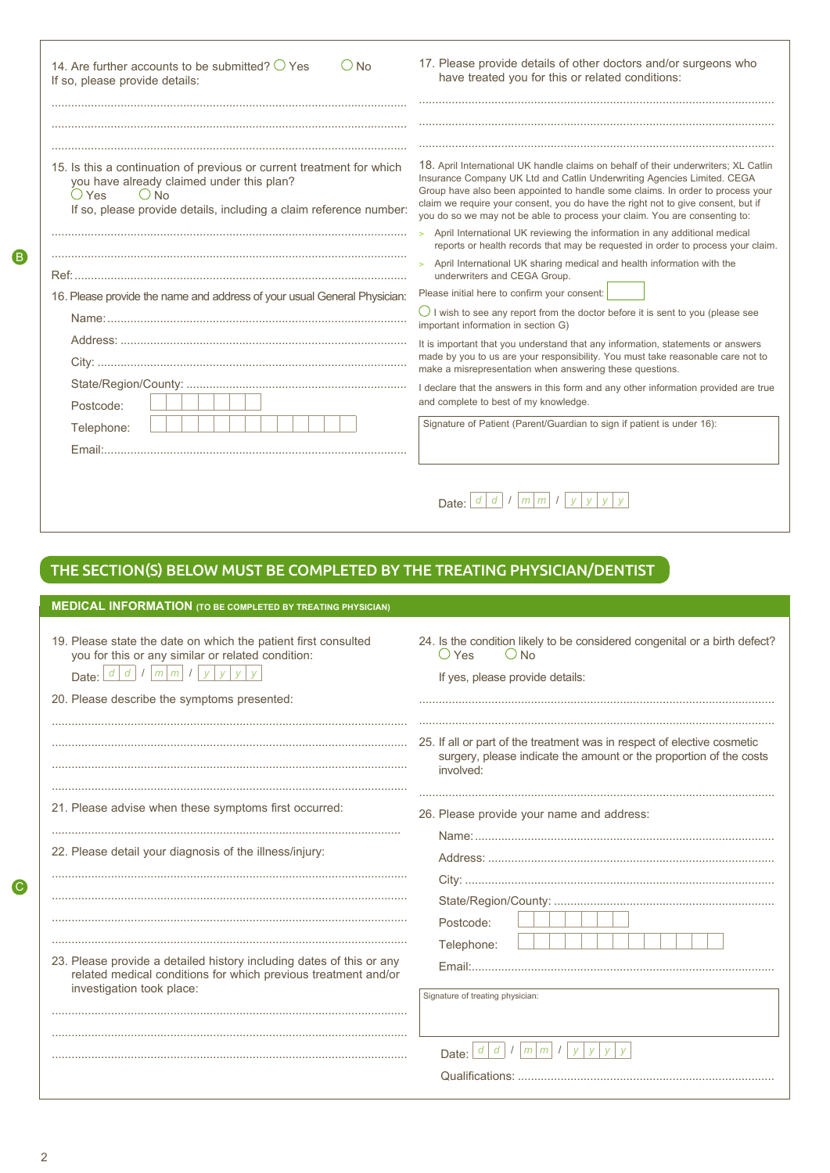| 14. Are further accounts to be submitted? $\bigcirc$ Yes<br>$\bigcirc$ No<br>If so, please provide details:                                                                                                     | 17. Please provide details of other doctors and/or surgeons who<br>have treated you for this or related conditions:                                                                                                                                                                                                                                                                                                                                                                                                                                                                 |
|-----------------------------------------------------------------------------------------------------------------------------------------------------------------------------------------------------------------|-------------------------------------------------------------------------------------------------------------------------------------------------------------------------------------------------------------------------------------------------------------------------------------------------------------------------------------------------------------------------------------------------------------------------------------------------------------------------------------------------------------------------------------------------------------------------------------|
| 15. Is this a continuation of previous or current treatment for which<br>you have already claimed under this plan?<br>$()$ Yes<br>$()$ No<br>If so, please provide details, including a claim reference number: | 18. April International UK handle claims on behalf of their underwriters; XL Catlin<br>Insurance Company UK Ltd and Catlin Underwriting Agencies Limited. CEGA<br>Group have also been appointed to handle some claims. In order to process your<br>claim we require your consent, you do have the right not to give consent, but if<br>you do so we may not be able to process your claim. You are consenting to:<br>April International UK reviewing the information in any additional medical<br>reports or health records that may be requested in order to process your claim. |
| 16. Please provide the name and address of your usual General Physician:                                                                                                                                        | April International UK sharing medical and health information with the<br>$\mathbf{S}$<br>underwriters and CEGA Group.<br>Please initial here to confirm your consent:                                                                                                                                                                                                                                                                                                                                                                                                              |
|                                                                                                                                                                                                                 | $\bigcirc$ I wish to see any report from the doctor before it is sent to you (please see<br>important information in section G)                                                                                                                                                                                                                                                                                                                                                                                                                                                     |
|                                                                                                                                                                                                                 | It is important that you understand that any information, statements or answers<br>made by you to us are your responsibility. You must take reasonable care not to<br>make a misrepresentation when answering these questions.                                                                                                                                                                                                                                                                                                                                                      |
| Postcode:                                                                                                                                                                                                       | I declare that the answers in this form and any other information provided are true<br>and complete to best of my knowledge.                                                                                                                                                                                                                                                                                                                                                                                                                                                        |
| Telephone:                                                                                                                                                                                                      | Signature of Patient (Parent/Guardian to sign if patient is under 16):                                                                                                                                                                                                                                                                                                                                                                                                                                                                                                              |
|                                                                                                                                                                                                                 | Date: $\lfloor d \rfloor d \lfloor l \rfloor m \lfloor m \rfloor l \lfloor y \rfloor y \lfloor y \rfloor$                                                                                                                                                                                                                                                                                                                                                                                                                                                                           |
| THE SECTION(S) BELOW MUST BE COMPLETED BY THE TREATING PHYSICIAN/DENTIST                                                                                                                                        |                                                                                                                                                                                                                                                                                                                                                                                                                                                                                                                                                                                     |
| <b>MEDICAL INFORMATION (TO BE COMPLETED BY TREATING PHYSICIAN)</b>                                                                                                                                              |                                                                                                                                                                                                                                                                                                                                                                                                                                                                                                                                                                                     |

| 19. Please state the date on which the patient first consulted<br>you for this or any similar or related condition:<br>Date: $\lfloor d \rfloor d \lfloor l \rfloor m \lfloor m \rfloor l \lfloor y \rfloor y \rfloor$<br>V | 24. Is the condition likely to be considered congenital or a birth defect?<br>$O$ No<br>$()$ Yes<br>If yes, please provide details:                        |
|-----------------------------------------------------------------------------------------------------------------------------------------------------------------------------------------------------------------------------|------------------------------------------------------------------------------------------------------------------------------------------------------------|
| 20. Please describe the symptoms presented:                                                                                                                                                                                 |                                                                                                                                                            |
|                                                                                                                                                                                                                             | 25. If all or part of the treatment was in respect of elective cosmetic<br>surgery, please indicate the amount or the proportion of the costs<br>involved: |
| 21. Please advise when these symptoms first occurred:                                                                                                                                                                       | 26. Please provide your name and address:                                                                                                                  |
| 22. Please detail your diagnosis of the illness/injury:                                                                                                                                                                     |                                                                                                                                                            |
| 23. Please provide a detailed history including dates of this or any<br>related medical conditions for which previous treatment and/or<br>investigation took place:                                                         | Postcode:<br>Telephone:<br>Email:<br>Signature of treating physician:<br>d<br>d<br>m<br>m<br>Date:                                                         |

C

B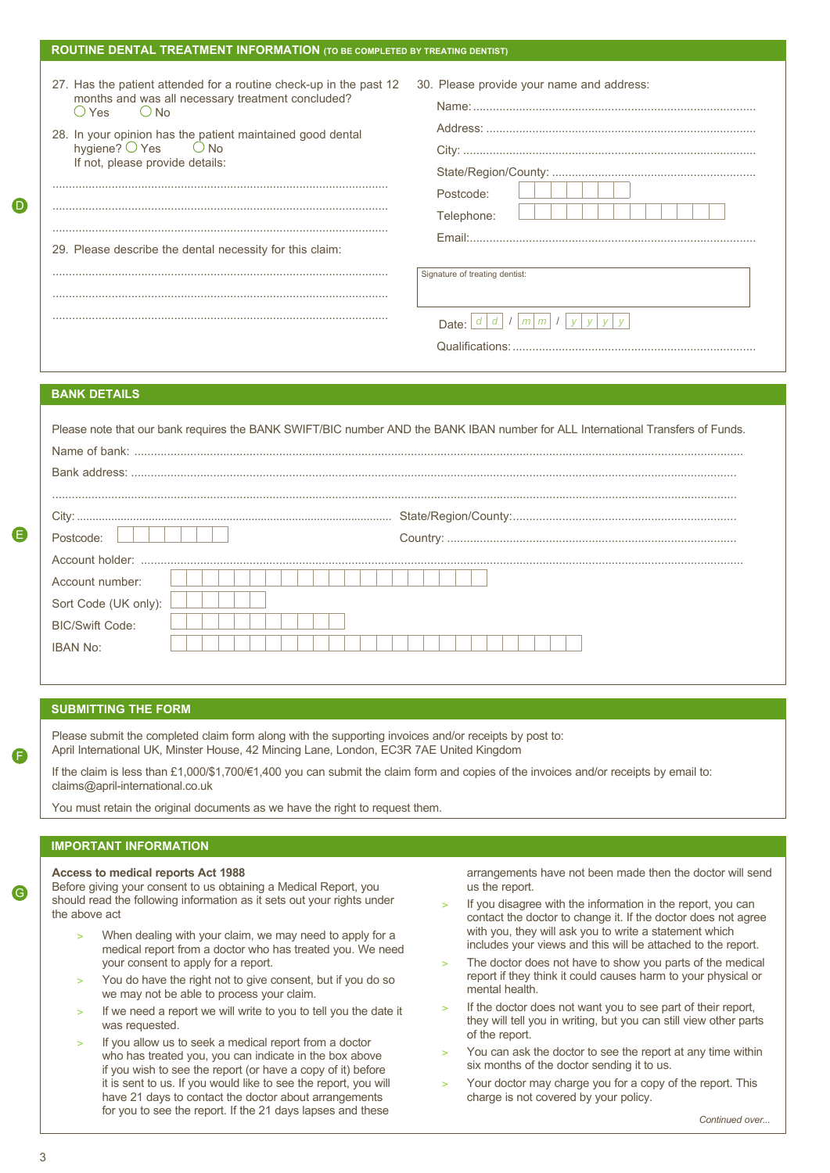| 27. Has the patient attended for a routine check-up in the past 12<br>months and was all necessary treatment concluded?<br>$OYes$ $ONo$<br>28. In your opinion has the patient maintained good dental<br>hygiene? $\bigcirc$ Yes $\bigcirc$ No<br>If not, please provide details: | 30. Please provide your name and address:   |
|-----------------------------------------------------------------------------------------------------------------------------------------------------------------------------------------------------------------------------------------------------------------------------------|---------------------------------------------|
|                                                                                                                                                                                                                                                                                   |                                             |
|                                                                                                                                                                                                                                                                                   |                                             |
|                                                                                                                                                                                                                                                                                   | Postcode:<br>Telephone:                     |
| 29. Please describe the dental necessity for this claim:                                                                                                                                                                                                                          |                                             |
|                                                                                                                                                                                                                                                                                   | Signature of treating dentist:              |
|                                                                                                                                                                                                                                                                                   |                                             |
|                                                                                                                                                                                                                                                                                   | m <sub>l</sub><br>m <sub>l</sub><br>Date: I |
|                                                                                                                                                                                                                                                                                   |                                             |

# **BANK DETAILS**

D

E

F

G

| Please note that our bank requires the BANK SWIFT/BIC number AND the BANK IBAN number for ALL International Transfers of Funds. |  |  |
|---------------------------------------------------------------------------------------------------------------------------------|--|--|
|                                                                                                                                 |  |  |
|                                                                                                                                 |  |  |
|                                                                                                                                 |  |  |
|                                                                                                                                 |  |  |
| Postcode:                                                                                                                       |  |  |
|                                                                                                                                 |  |  |
| Account number:                                                                                                                 |  |  |
| Sort Code (UK only):                                                                                                            |  |  |
| <b>BIC/Swift Code:</b>                                                                                                          |  |  |
| <b>IBAN No:</b>                                                                                                                 |  |  |
|                                                                                                                                 |  |  |

# **SUBMITTING THE FORM**

Please submit the completed claim form along with the supporting invoices and/or receipts by post to: April International UK, Minster House, 42 Mincing Lane, London, EC3R 7AE United Kingdom

If the claim is less than £1,000/\$1,700/€1,400 you can submit the claim form and copies of the invoices and/or receipts by email to: claims@april-international.co.uk

You must retain the original documents as we have the right to request them.

# **IMPORTANT INFORMATION**

**Access to medical reports Act 1988**

Before giving your consent to us obtaining a Medical Report, you should read the following information as it sets out your rights under the above act

- When dealing with your claim, we may need to apply for a medical report from a doctor who has treated you. We need your consent to apply for a report.
- You do have the right not to give consent, but if you do so we may not be able to process your claim.
- If we need a report we will write to you to tell you the date it was requested.
- If you allow us to seek a medical report from a doctor who has treated you, you can indicate in the box above if you wish to see the report (or have a copy of it) before it is sent to us. If you would like to see the report, you will have 21 days to contact the doctor about arrangements for you to see the report. If the 21 days lapses and these

arrangements have not been made then the doctor will send us the report.

- If you disagree with the information in the report, you can contact the doctor to change it. If the doctor does not agree with you, they will ask you to write a statement which includes your views and this will be attached to the report.
- The doctor does not have to show you parts of the medical report if they think it could causes harm to your physical or mental health.
- If the doctor does not want you to see part of their report, they will tell you in writing, but you can still view other parts of the report.
- You can ask the doctor to see the report at any time within six months of the doctor sending it to us.
- Your doctor may charge you for a copy of the report. This charge is not covered by your policy.